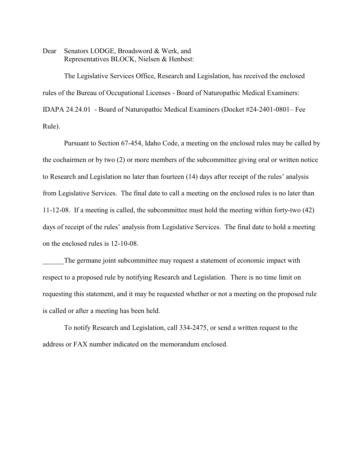Dear Senators LODGE, Broadsword & Werk, and Representatives BLOCK, Nielsen & Henbest:

The Legislative Services Office, Research and Legislation, has received the enclosed rules of the Bureau of Occupational Licenses - Board of Naturopathic Medical Examiners: IDAPA 24.24.01 - Board of Naturopathic Medical Examiners (Docket #24-2401-0801– Fee Rule).

Pursuant to Section 67-454, Idaho Code, a meeting on the enclosed rules may be called by the cochairmen or by two (2) or more members of the subcommittee giving oral or written notice to Research and Legislation no later than fourteen (14) days after receipt of the rules' analysis from Legislative Services. The final date to call a meeting on the enclosed rules is no later than 11-12-08. If a meeting is called, the subcommittee must hold the meeting within forty-two (42) days of receipt of the rules' analysis from Legislative Services. The final date to hold a meeting on the enclosed rules is 12-10-08.

The germane joint subcommittee may request a statement of economic impact with respect to a proposed rule by notifying Research and Legislation. There is no time limit on requesting this statement, and it may be requested whether or not a meeting on the proposed rule is called or after a meeting has been held.

To notify Research and Legislation, call 334-2475, or send a written request to the address or FAX number indicated on the memorandum enclosed.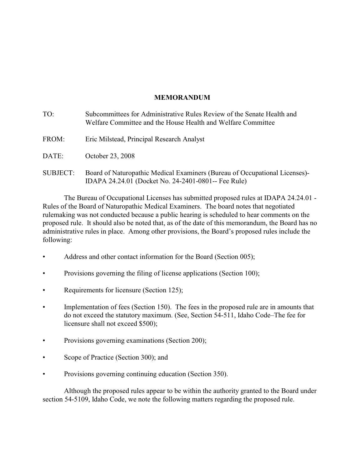# **MEMORANDUM**

| TO:             | Subcommittees for Administrative Rules Review of the Senate Health and<br>Welfare Committee and the House Health and Welfare Committee |
|-----------------|----------------------------------------------------------------------------------------------------------------------------------------|
| FROM:           | Eric Milstead, Principal Research Analyst                                                                                              |
| DATE:           | October 23, 2008                                                                                                                       |
| <b>SUBJECT:</b> | Board of Naturopathic Medical Examiners (Bureau of Occupational Licenses)<br>IDAPA 24.24.01 (Docket No. 24-2401-0801-- Fee Rule)       |

The Bureau of Occupational Licenses has submitted proposed rules at IDAPA 24.24.01 - Rules of the Board of Naturopathic Medical Examiners. The board notes that negotiated rulemaking was not conducted because a public hearing is scheduled to hear comments on the proposed rule. It should also be noted that, as of the date of this memorandum, the Board has no administrative rules in place. Among other provisions, the Board's proposed rules include the following:

- Address and other contact information for the Board (Section 005);
- Provisions governing the filing of license applications (Section 100);
- Requirements for licensure (Section 125);
- Implementation of fees (Section 150). The fees in the proposed rule are in amounts that do not exceed the statutory maximum. (See, Section 54-511, Idaho Code–The fee for licensure shall not exceed \$500);
- Provisions governing examinations (Section 200);
- Scope of Practice (Section 300); and
- Provisions governing continuing education (Section 350).

Although the proposed rules appear to be within the authority granted to the Board under section 54-5109, Idaho Code, we note the following matters regarding the proposed rule.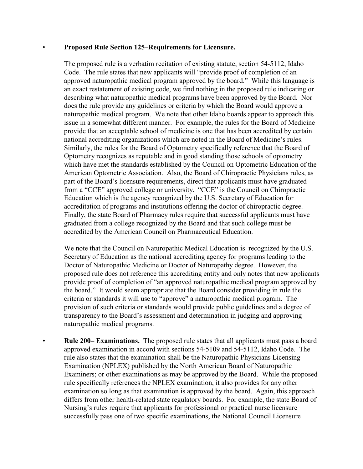## • **Proposed Rule Section 125–Requirements for Licensure.**

The proposed rule is a verbatim recitation of existing statute, section 54-5112, Idaho Code. The rule states that new applicants will "provide proof of completion of an approved naturopathic medical program approved by the board." While this language is an exact restatement of existing code, we find nothing in the proposed rule indicating or describing what naturopathic medical programs have been approved by the Board. Nor does the rule provide any guidelines or criteria by which the Board would approve a naturopathic medical program. We note that other Idaho boards appear to approach this issue in a somewhat different manner. For example, the rules for the Board of Medicine provide that an acceptable school of medicine is one that has been accredited by certain national accrediting organizations which are noted in the Board of Medicine's rules. Similarly, the rules for the Board of Optometry specifically reference that the Board of Optometry recognizes as reputable and in good standing those schools of optometry which have met the standards established by the Council on Optometric Education of the American Optometric Association. Also, the Board of Chiropractic Physicians rules, as part of the Board's licensure requirements, direct that applicants must have graduated from a "CCE" approved college or university. "CCE" is the Council on Chiropractic Education which is the agency recognized by the U.S. Secretary of Education for accreditation of programs and institutions offering the doctor of chiropractic degree. Finally, the state Board of Pharmacy rules require that successful applicants must have graduated from a college recognized by the Board and that such college must be accredited by the American Council on Pharmaceutical Education.

We note that the Council on Naturopathic Medical Education is recognized by the U.S. Secretary of Education as the national accrediting agency for programs leading to the Doctor of Naturopathic Medicine or Doctor of Naturopathy degree. However, the proposed rule does not reference this accrediting entity and only notes that new applicants provide proof of completion of "an approved naturopathic medical program approved by the board." It would seem appropriate that the Board consider providing in rule the criteria or standards it will use to "approve" a naturopathic medical program. The provision of such criteria or standards would provide public guidelines and a degree of transparency to the Board's assessment and determination in judging and approving naturopathic medical programs.

• **Rule 200– Examinations.** The proposed rule states that all applicants must pass a board approved examination in accord with sections 54-5109 and 54-5112, Idaho Code. The rule also states that the examination shall be the Naturopathic Physicians Licensing Examination (NPLEX) published by the North American Board of Naturopathic Examiners; or other examinations as may be approved by the Board. While the proposed rule specifically references the NPLEX examination, it also provides for any other examination so long as that examination is approved by the board. Again, this approach differs from other health-related state regulatory boards. For example, the state Board of Nursing's rules require that applicants for professional or practical nurse licensure successfully pass one of two specific examinations, the National Council Licensure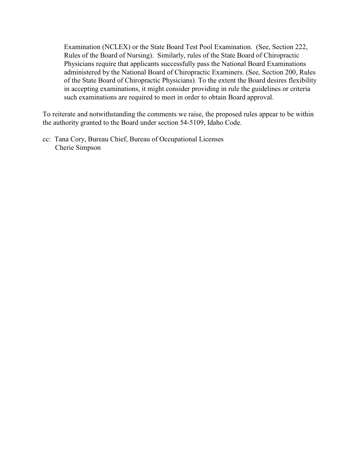Examination (NCLEX) or the State Board Test Pool Examination. (See, Section 222, Rules of the Board of Nursing). Similarly, rules of the State Board of Chiropractic Physicians require that applicants successfully pass the National Board Examinations administered by the National Board of Chiropractic Examiners. (See, Section 200, Rules of the State Board of Chiropractic Physicians). To the extent the Board desires flexibility in accepting examinations, it might consider providing in rule the guidelines or criteria such examinations are required to meet in order to obtain Board approval.

To reiterate and notwithstanding the comments we raise, the proposed rules appear to be within the authority granted to the Board under section 54-5109, Idaho Code.

cc: Tana Cory, Bureau Chief, Bureau of Occupational Licenses Cherie Simpson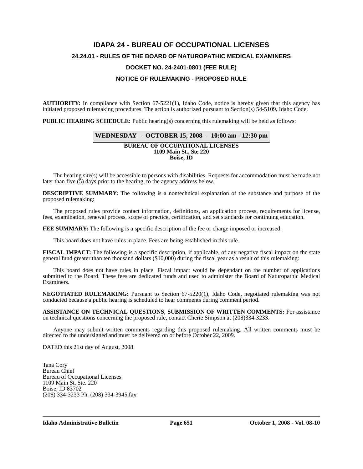# **IDAPA 24 - BUREAU OF OCCUPATIONAL LICENSES 24.24.01 - RULES OF THE BOARD OF NATUROPATHIC MEDICAL EXAMINERS DOCKET NO. 24-2401-0801 (FEE RULE) NOTICE OF RULEMAKING - PROPOSED RULE**

**AUTHORITY:** In compliance with Section 67-5221(1), Idaho Code, notice is hereby given that this agency has initiated proposed rulemaking procedures. The action is authorized pursuant to Section(s) 54-5109, Idaho Code.

**PUBLIC HEARING SCHEDULE:** Public hearing(s) concerning this rulemaking will be held as follows:

#### **WEDNESDAY - OCTOBER 15, 2008 - 10:00 am - 12:30 pm**

**BUREAU OF OCCUPATIONAL LICENSES 1109 Main St., Ste 220 Boise, ID**

The hearing site(s) will be accessible to persons with disabilities. Requests for accommodation must be made not later than five (5) days prior to the hearing, to the agency address below.

**DESCRIPTIVE SUMMARY:** The following is a nontechnical explanation of the substance and purpose of the proposed rulemaking:

The proposed rules provide contact information, definitions, an application process, requirements for license, fees, examination, renewal process, scope of practice, certification, and set standards for continuing education.

**FEE SUMMARY:** The following is a specific description of the fee or charge imposed or increased:

This board does not have rules in place. Fees are being established in this rule.

**FISCAL IMPACT:** The following is a specific description, if applicable, of any negative fiscal impact on the state general fund greater than ten thousand dollars (\$10,000) during the fiscal year as a result of this rulemaking:

This board does not have rules in place. Fiscal impact would be dependant on the number of applications submitted to the Board. These fees are dedicated funds and used to administer the Board of Naturopathic Medical Examiners.

**NEGOTIATED RULEMAKING:** Pursuant to Section 67-5220(1), Idaho Code, negotiated rulemaking was not conducted because a public hearing is scheduled to hear comments during comment period.

**ASSISTANCE ON TECHNICAL QUESTIONS, SUBMISSION OF WRITTEN COMMENTS:** For assistance on technical questions concerning the proposed rule, contact Cherie Simpson at (208)334-3233.

Anyone may submit written comments regarding this proposed rulemaking. All written comments must be directed to the undersigned and must be delivered on or before October 22, 2009.

DATED this 21st day of August, 2008.

Tana Cory Bureau Chief Bureau of Occupational Licenses 1109 Main St. Ste. 220 Boise, ID 83702 (208) 334-3233 Ph. (208) 334-3945,fax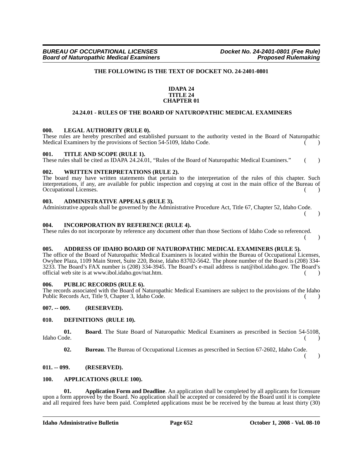## **THE FOLLOWING IS THE TEXT OF DOCKET NO. 24-2401-0801**

#### **IDAPA 24 TITLE 24 CHAPTER 01**

#### **24.24.01 - RULES OF THE BOARD OF NATUROPATHIC MEDICAL EXAMINERS**

#### **000. LEGAL AUTHORITY (RULE 0).**

These rules are hereby prescribed and established pursuant to the authority vested in the Board of Naturopathic Medical Examiners by the provisions of Section  $54-5109$ , Idaho Code.  $\qquad \qquad ($ 

#### **001. TITLE AND SCOPE (RULE 1).**

These rules shall be cited as IDAPA 24.24.01, "Rules of the Board of Naturopathic Medical Examiners." ()

## **002. WRITTEN INTERPRETATIONS (RULE 2).**

The board may have written statements that pertain to the interpretation of the rules of this chapter. Such interpretations, if any, are available for public inspection and copying at cost in the main office of the Bureau of Occupational Licenses. ( )

#### **003. ADMINISTRATIVE APPEALS (RULE 3).**

Administrative appeals shall be governed by the Administrative Procedure Act, Title 67, Chapter 52, Idaho Code.

( )

( )

#### **004. INCORPORATION BY REFERENCE (RULE 4).**

These rules do not incorporate by reference any document other than those Sections of Idaho Code so referenced.

#### **005. ADDRESS OF IDAHO BOARD OF NATUROPATHIC MEDICAL EXAMINERS (RULE 5).**

The office of the Board of Naturopathic Medical Examiners is located within the Bureau of Occupational Licenses, Owyhee Plaza, 1109 Main Street, Suite 220, Boise, Idaho 83702-5642. The phone number of the Board is (208) 334- 3233. The Board's FAX number is (208) 334-3945. The Board's e-mail address is nat@ibol.idaho.gov. The Board's official web site is at www.ibol.idaho.gov/nat.htm.  $($ )

#### **006. PUBLIC RECORDS (RULE 6).**

The records associated with the Board of Naturopathic Medical Examiners are subject to the provisions of the Idaho Public Records Act, Title 9, Chapter 3, Idaho Code. ( )

#### **007. -- 009. (RESERVED).**

#### **010. DEFINITIONS (RULE 10).**

**01. Board**. The State Board of Naturopathic Medical Examiners as prescribed in Section 54-5108, Idaho Code. Idaho Code. ( )

**02. Bureau**. The Bureau of Occupational Licenses as prescribed in Section 67-2602, Idaho Code.

( )

#### **011. -- 099. (RESERVED).**

#### **100. APPLICATIONS (RULE 100).**

**01. Application Form and Deadline**. An application shall be completed by all applicants for licensure upon a form approved by the Board. No application shall be accepted or considered by the Board until it is complete and all required fees have been paid. Completed applications must be be received by the bureau at least thirty (30)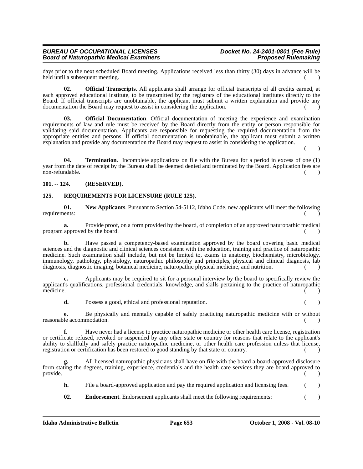days prior to the next scheduled Board meeting. Applications received less than thirty (30) days in advance will be held until a subsequent meeting. () and the state of the state of the state of the state of the state of the state of the state of the state of the state of the state of the state of the state of the state of the state of

**02. Official Transcripts**. All applicants shall arrange for official transcripts of all credits earned, at each approved educational institute, to be transmitted by the registrars of the educational institutes directly to the Board. If official transcripts are unobtainable, the applicant must submit a written explanation and provide any documentation the Board may request to assist in considering the application.

**03. Official Documentation**. Official documentation of meeting the experience and examination requirements of law and rule must be received by the Board directly from the entity or person responsible for validating said documentation. Applicants are responsible for requesting the required documentation from the appropriate entities and persons. If official documentation is unobtainable, the applicant must submit a written explanation and provide any documentation the Board may request to assist in considering the application.

 $($  )

**04. Termination**. Incomplete applications on file with the Bureau for a period in excess of one (1) year from the date of receipt by the Bureau shall be deemed denied and terminated by the Board. Application fees are non-refundable. ( )

## **101. -- 124. (RESERVED).**

## **125. REQUIREMENTS FOR LICENSURE (RULE 125).**

**01. New Applicants**. Pursuant to Section 54-5112, Idaho Code, new applicants will meet the following requirements:  $($ 

**a.** Provide proof, on a form provided by the board, of completion of an approved naturopathic medical program approved by the board.  $($ )

**b.** Have passed a competency-based examination approved by the board covering basic medical sciences and the diagnostic and clinical sciences consistent with the education, training and practice of naturopathic medicine. Such examination shall include, but not be limited to, exams in anatomy, biochemistry, microbiology, immunology, pathology, physiology, naturopathic philosophy and principles, physical and clinical diagnosis, lab diagnosis, diagnostic imaging, botanical medicine, naturopathic physical medicine, and nutrition. ( )

**c.** Applicants may be required to sit for a personal interview by the board to specifically review the applicant's qualifications, professional credentials, knowledge, and skills pertaining to the practice of naturopathic medicine.  $\qquad \qquad (\qquad )$ 

**d.** Possess a good, ethical and professional reputation. ( )

**e.** Be physically and mentally capable of safely practicing naturopathic medicine with or without reasonable accommodation.

**f.** Have never had a license to practice naturopathic medicine or other health care license, registration or certificate refused, revoked or suspended by any other state or country for reasons that relate to the applicant's ability to skillfully and safely practice naturopathic medicine, or other health care profession unless that license, registration or certification has been restored to good standing by that state or country.

**g.** All licensed naturopathic physicians shall have on file with the board a board-approved disclosure form stating the degrees, training, experience, credentials and the health care services they are board approved to provide.  $($   $)$ 

**h.** File a board-approved application and pay the required application and licensing fees. ()

**02. Endorsement**. Endorsement applicants shall meet the following requirements:  $($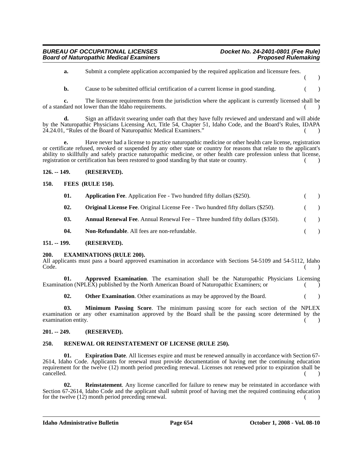**a.** Submit a complete application accompanied by the required application and licensure fees.  $($  )

**b.** Cause to be submitted official certification of a current license in good standing. ()

**c.** The licensure requirements from the jurisdiction where the applicant is currently licensed shall be of a standard not lower than the Idaho requirements. ( )

**d.** Sign an affidavit swearing under oath that they have fully reviewed and understand and will abide by the Naturopathic Physicians Licensing Act, Title 54, Chapter 51, Idaho Code, and the Board's Rules, IDAPA 24.24.01, "Rules of the Board of Naturopathic Medical Examiners." ( )

**e.** Have never had a license to practice naturopathic medicine or other health care license, registration or certificate refused, revoked or suspended by any other state or country for reasons that relate to the applicant's ability to skillfully and safely practice naturopathic medicine, or other health care profession unless that license, registration or certification has been restored to good standing by that state or country. ()

## **126. -- 149. (RESERVED).**

## **150. FEES (RULE 150).**

| 01. | <b>Application Fee.</b> Application Fee - Two hundred fifty dollars (\$250).           |            |               |
|-----|----------------------------------------------------------------------------------------|------------|---------------|
| 02. | <b>Original License Fee.</b> Original License Fee - Two hundred fifty dollars (\$250). | $\sqrt{2}$ | $\rightarrow$ |
| 03. | <b>Annual Renewal Fee.</b> Annual Renewal Fee $-$ Three hundred fifty dollars (\$350). |            | $\rightarrow$ |
| 04. | Non-Refundable. All fees are non-refundable.                                           |            |               |

#### **151. -- 199. (RESERVED).**

#### **200. EXAMINATIONS (RULE 200).**

All applicants must pass a board approved examination in accordance with Sections 54-5109 and 54-5112, Idaho Code. (i) in the contract of the contract of the contract of the contract of the contract of the contract of the contract of the contract of the contract of the contract of the contract of the contract of the contract of t

**01. Approved Examination**. The examination shall be the Naturopathic Physicians Licensing Examination (NPLEX) published by the North American Board of Naturopathic Examiners; or (

**02. Other Examination**. Other examinations as may be approved by the Board.  $($ )

**03. Minimum Passing Score**. The minimum passing score for each section of the NPLEX examination or any other examination approved by the Board shall be the passing score determined by the examination entity.

## **201. -- 249. (RESERVED).**

## **250. RENEWAL OR REINSTATEMENT OF LICENSE (RULE 250).**

**01. Expiration Date**. All licenses expire and must be renewed annually in accordance with Section 67- 2614, Idaho Code. Applicants for renewal must provide documentation of having met the continuing education requirement for the twelve (12) month period preceding renewal. Licenses not renewed prior to expiration shall be cancelled. (a)

**02. Reinstatement**. Any license cancelled for failure to renew may be reinstated in accordance with Section 67-2614, Idaho Code and the applicant shall submit proof of having met the required continuing education for the twelve  $(12)$  month period preceding renewal.  $($ )

**Idaho Administrative Bulletin Page 654 October 1, 2008 - Vol. 08-10**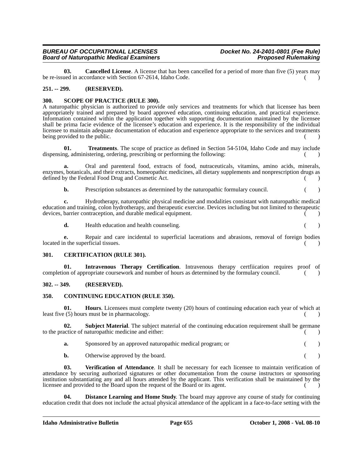#### *BUREAU OF OCCUPATIONAL LICENSES Docket No. 24-2401-0801 (Fee Rule)* **Board of Naturopathic Medical Examiners**

**03. Cancelled License**. A license that has been cancelled for a period of more than five (5) years may be re-issued in accordance with Section 67-2614, Idaho Code. ( )

## **251. -- 299. (RESERVED).**

## **300. SCOPE OF PRACTICE (RULE 300).**

A naturopathic physician is authorized to provide only services and treatments for which that licensee has been appropriately trained and prepared by board approved education, continuing education, and practical experience. Information contained within the application together with supporting documentation maintained by the licensee shall be prima facie evidence of the licensee's education and experience. It is the responsibility of the individual licensee to maintain adequate documentation of education and experience appropriate to the services and treatments being provided to the public. ( )

**01. Treatments**. The scope of practice as defined in Section 54-5104, Idaho Code and may include dispensing, administering, ordering, prescribing or performing the following:

**a.** Oral and parenteral food, extracts of food, nutraceuticals, vitamins, amino acids, minerals, enzymes, botanicals, and their extracts, homeopathic medicines, all dietary supplements and nonprescription drugs as defined by the Federal Food Drug and Cosmetic Act.  $($ )

**b.** Prescription substances as determined by the naturopathic formulary council. ()

**c.** Hydrotherapy, naturopathic physical medicine and modalities consistant with naturopathic medical education and training, colon hydrotherapy, and therapeutic exercise. Devices including but not limited to therapeutic devices, barrier contraception, and durable medical equipment. ( )

**d.** Health education and health counseling. (a)

**e.** Repair and care incidental to superficial lacerations and abrasions, removal of foreign bodies located in the superficial tissues. (

#### **301. CERTIFICATION (RULE 301).**

**01. Intravenous Therapy Certification**. Intravenous therapy certfiication requires proof of completion of appropriate coursework and number of hours as determined by the formulary council.  $($ 

## **302. -- 349. (RESERVED).**

## **350. CONTINUING EDUCATION (RULE 350).**

**01. Hours**. Licensees must complete twenty (20) hours of continuing education each year of which at least five (5) hours must be in pharmacology. ( )

**02. Subject Material**. The subject material of the continuing education requirement shall be germane to the practice of naturopathic medicine and either: ( )

**a.** Sponsored by an approved naturopathic medical program; or  $($ )

**b.** Otherwise approved by the board. ( )

**03. Verification of Attendance**. It shall be necessary for each licensee to maintain verification of attendance by securing authorized signatures or other documentation from the course instructors or sponsoring institution substantiating any and all hours attended by the applicant. This verification shall be maintained by the licensee and provided to the Board upon the request of the Board or its agent. ( )

**Distance Learning and Home Study**. The board may approve any course of study for continuing education credit that does not include the actual physical attendance of the applicant in a face-to-face setting with the